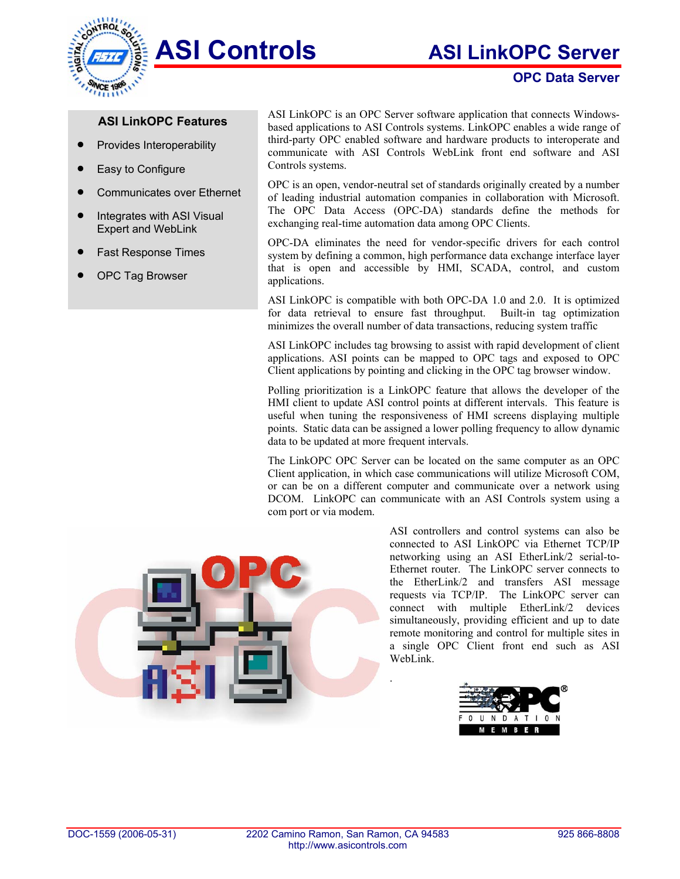

## **OPC Data Server**

## **ASI LinkOPC Features**

- Provides Interoperability
- Easy to Configure

**NCE** 

- Communicates over Ethernet
- Integrates with ASI Visual Expert and WebLink
- Fast Response Times
- OPC Tag Browser

ASI LinkOPC is an OPC Server software application that connects Windowsbased applications to ASI Controls systems. LinkOPC enables a wide range of third-party OPC enabled software and hardware products to interoperate and communicate with ASI Controls WebLink front end software and ASI Controls systems.

OPC is an open, vendor-neutral set of standards originally created by a number of leading industrial automation companies in collaboration with Microsoft. The OPC Data Access (OPC-DA) standards define the methods for exchanging real-time automation data among OPC Clients.

OPC-DA eliminates the need for vendor-specific drivers for each control system by defining a common, high performance data exchange interface layer that is open and accessible by HMI, SCADA, control, and custom applications.

ASI LinkOPC is compatible with both OPC-DA 1.0 and 2.0. It is optimized for data retrieval to ensure fast throughput. Built-in tag optimization minimizes the overall number of data transactions, reducing system traffic

ASI LinkOPC includes tag browsing to assist with rapid development of client applications. ASI points can be mapped to OPC tags and exposed to OPC Client applications by pointing and clicking in the OPC tag browser window.

Polling prioritization is a LinkOPC feature that allows the developer of the HMI client to update ASI control points at different intervals. This feature is useful when tuning the responsiveness of HMI screens displaying multiple points. Static data can be assigned a lower polling frequency to allow dynamic data to be updated at more frequent intervals.

The LinkOPC OPC Server can be located on the same computer as an OPC Client application, in which case communications will utilize Microsoft COM, or can be on a different computer and communicate over a network using DCOM. LinkOPC can communicate with an ASI Controls system using a com port or via modem.



ASI controllers and control systems can also be connected to ASI LinkOPC via Ethernet TCP/IP networking using an ASI EtherLink/2 serial-to-Ethernet router. The LinkOPC server connects to the EtherLink/2 and transfers ASI message requests via TCP/IP. The LinkOPC server can connect with multiple EtherLink/2 devices simultaneously, providing efficient and up to date remote monitoring and control for multiple sites in a single OPC Client front end such as ASI WebLink.